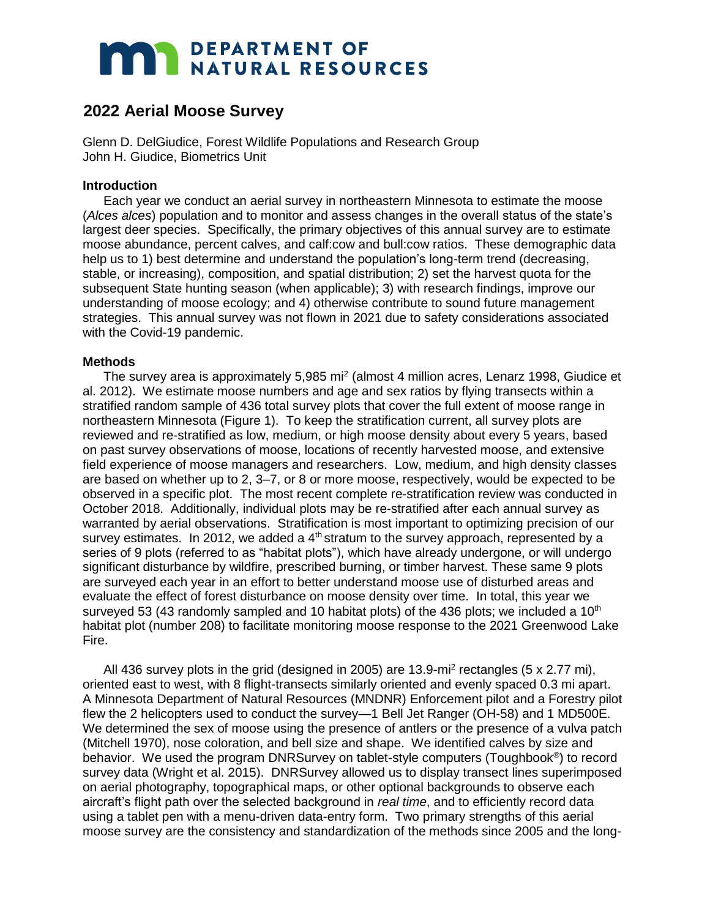# **MAR DEPARTMENT OF NATURAL RESOURCES**

# **2022 Aerial Moose Survey**

Glenn D. DelGiudice, Forest Wildlife Populations and Research Group John H. Giudice, Biometrics Unit

## **Introduction**

Each year we conduct an aerial survey in northeastern Minnesota to estimate the moose (*Alces alces*) population and to monitor and assess changes in the overall status of the state's largest deer species. Specifically, the primary objectives of this annual survey are to estimate moose abundance, percent calves, and calf:cow and bull:cow ratios. These demographic data help us to 1) best determine and understand the population's long-term trend (decreasing, stable, or increasing), composition, and spatial distribution; 2) set the harvest quota for the subsequent State hunting season (when applicable); 3) with research findings, improve our understanding of moose ecology; and 4) otherwise contribute to sound future management strategies. This annual survey was not flown in 2021 due to safety considerations associated with the Covid-19 pandemic.

# **Methods**

The survey area is approximately 5,985 mi<sup>2</sup> (almost 4 million acres, Lenarz 1998, Giudice et al. 2012). We estimate moose numbers and age and sex ratios by flying transects within a stratified random sample of 436 total survey plots that cover the full extent of moose range in northeastern Minnesota (Figure 1). To keep the stratification current, all survey plots are reviewed and re-stratified as low, medium, or high moose density about every 5 years, based on past survey observations of moose, locations of recently harvested moose, and extensive field experience of moose managers and researchers. Low, medium, and high density classes are based on whether up to 2, 3–7, or 8 or more moose, respectively, would be expected to be observed in a specific plot. The most recent complete re-stratification review was conducted in October 2018. Additionally, individual plots may be re-stratified after each annual survey as warranted by aerial observations. Stratification is most important to optimizing precision of our survey estimates. In 2012, we added a  $4<sup>th</sup>$  stratum to the survey approach, represented by a series of 9 plots (referred to as "habitat plots"), which have already undergone, or will undergo significant disturbance by wildfire, prescribed burning, or timber harvest. These same 9 plots are surveyed each year in an effort to better understand moose use of disturbed areas and evaluate the effect of forest disturbance on moose density over time. In total, this year we surveyed 53 (43 randomly sampled and 10 habitat plots) of the 436 plots; we included a  $10<sup>th</sup>$ habitat plot (number 208) to facilitate monitoring moose response to the 2021 Greenwood Lake Fire.

All 436 survey plots in the grid (designed in 2005) are 13.9-mi<sup>2</sup> rectangles (5 x 2.77 mi), oriented east to west, with 8 flight-transects similarly oriented and evenly spaced 0.3 mi apart. A Minnesota Department of Natural Resources (MNDNR) Enforcement pilot and a Forestry pilot flew the 2 helicopters used to conduct the survey—1 Bell Jet Ranger (OH-58) and 1 MD500E. We determined the sex of moose using the presence of antlers or the presence of a vulva patch (Mitchell 1970), nose coloration, and bell size and shape. We identified calves by size and behavior. We used the program DNRSurvey on tablet-style computers (Toughbook®) to record survey data (Wright et al. 2015). DNRSurvey allowed us to display transect lines superimposed on aerial photography, topographical maps, or other optional backgrounds to observe each aircraft's flight path over the selected background in *real time*, and to efficiently record data using a tablet pen with a menu-driven data-entry form. Two primary strengths of this aerial moose survey are the consistency and standardization of the methods since 2005 and the long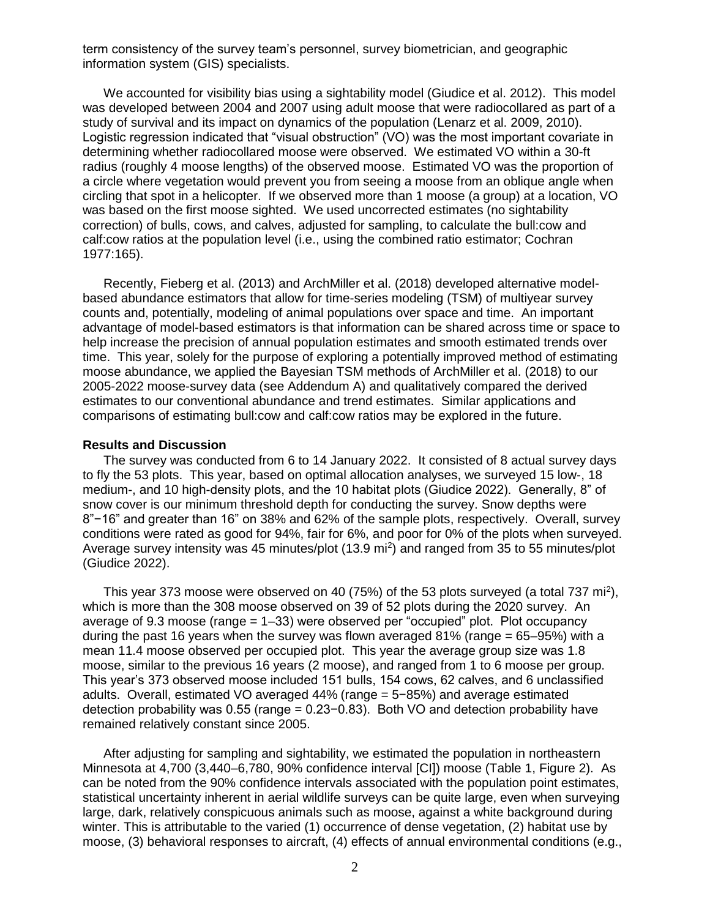term consistency of the survey team's personnel, survey biometrician, and geographic information system (GIS) specialists.

We accounted for visibility bias using a sightability model (Giudice et al. 2012). This model was developed between 2004 and 2007 using adult moose that were radiocollared as part of a study of survival and its impact on dynamics of the population (Lenarz et al. 2009, 2010). Logistic regression indicated that "visual obstruction" (VO) was the most important covariate in determining whether radiocollared moose were observed. We estimated VO within a 30-ft radius (roughly 4 moose lengths) of the observed moose. Estimated VO was the proportion of a circle where vegetation would prevent you from seeing a moose from an oblique angle when circling that spot in a helicopter. If we observed more than 1 moose (a group) at a location, VO was based on the first moose sighted. We used uncorrected estimates (no sightability correction) of bulls, cows, and calves, adjusted for sampling, to calculate the bull:cow and calf:cow ratios at the population level (i.e., using the combined ratio estimator; Cochran 1977:165).

Recently, Fieberg et al. (2013) and ArchMiller et al. (2018) developed alternative modelbased abundance estimators that allow for time-series modeling (TSM) of multiyear survey counts and, potentially, modeling of animal populations over space and time. An important advantage of model-based estimators is that information can be shared across time or space to help increase the precision of annual population estimates and smooth estimated trends over time. This year, solely for the purpose of exploring a potentially improved method of estimating moose abundance, we applied the Bayesian TSM methods of ArchMiller et al. (2018) to our 2005-2022 moose-survey data (see Addendum A) and qualitatively compared the derived estimates to our conventional abundance and trend estimates. Similar applications and comparisons of estimating bull:cow and calf:cow ratios may be explored in the future.

#### **Results and Discussion**

The survey was conducted from 6 to 14 January 2022. It consisted of 8 actual survey days to fly the 53 plots. This year, based on optimal allocation analyses, we surveyed 15 low-, 18 medium-, and 10 high-density plots, and the 10 habitat plots (Giudice 2022). Generally, 8" of snow cover is our minimum threshold depth for conducting the survey. Snow depths were 8"−16" and greater than 16" on 38% and 62% of the sample plots, respectively. Overall, survey conditions were rated as good for 94%, fair for 6%, and poor for 0% of the plots when surveyed. Average survey intensity was 45 minutes/plot (13.9 mi<sup>2</sup>) and ranged from 35 to 55 minutes/plot (Giudice 2022).

This year 373 moose were observed on 40 (75%) of the 53 plots surveyed (a total 737 mi<sup>2</sup>), which is more than the 308 moose observed on 39 of 52 plots during the 2020 survey. An average of 9.3 moose (range  $= 1-33$ ) were observed per "occupied" plot. Plot occupancy during the past 16 years when the survey was flown averaged 81% (range  $= 65-95%$ ) with a mean 11.4 moose observed per occupied plot. This year the average group size was 1.8 moose, similar to the previous 16 years (2 moose), and ranged from 1 to 6 moose per group. This year's 373 observed moose included 151 bulls, 154 cows, 62 calves, and 6 unclassified adults. Overall, estimated VO averaged 44% (range = 5−85%) and average estimated detection probability was 0.55 (range = 0.23−0.83). Both VO and detection probability have remained relatively constant since 2005.

After adjusting for sampling and sightability, we estimated the population in northeastern Minnesota at 4,700 (3,440–6,780, 90% confidence interval [CI]) moose (Table 1, Figure 2). As can be noted from the 90% confidence intervals associated with the population point estimates, statistical uncertainty inherent in aerial wildlife surveys can be quite large, even when surveying large, dark, relatively conspicuous animals such as moose, against a white background during winter. This is attributable to the varied (1) occurrence of dense vegetation, (2) habitat use by moose, (3) behavioral responses to aircraft, (4) effects of annual environmental conditions (e.g.,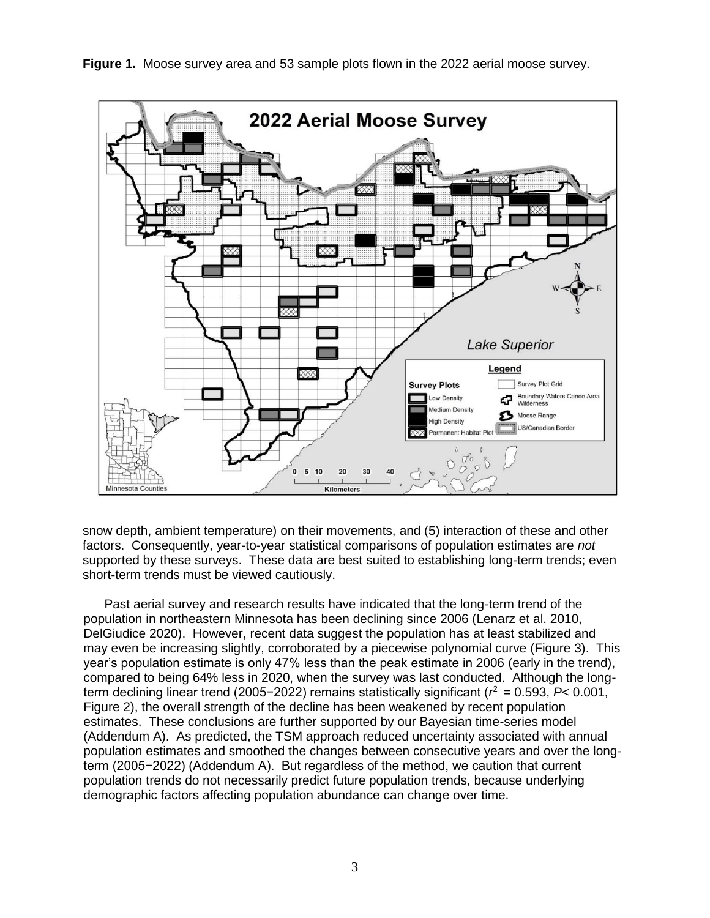



snow depth, ambient temperature) on their movements, and (5) interaction of these and other factors. Consequently, year-to-year statistical comparisons of population estimates are *not*  supported by these surveys. These data are best suited to establishing long-term trends; even short-term trends must be viewed cautiously.

Past aerial survey and research results have indicated that the long-term trend of the population in northeastern Minnesota has been declining since 2006 (Lenarz et al. 2010, DelGiudice 2020). However, recent data suggest the population has at least stabilized and may even be increasing slightly, corroborated by a piecewise polynomial curve (Figure 3). This year's population estimate is only 47% less than the peak estimate in 2006 (early in the trend), compared to being 64% less in 2020, when the survey was last conducted. Although the longterm declining linear trend (2005−2022) remains statistically significant (*r* <sup>2</sup> = 0.593, *P*< 0.001, Figure 2), the overall strength of the decline has been weakened by recent population estimates. These conclusions are further supported by our Bayesian time-series model (Addendum A). As predicted, the TSM approach reduced uncertainty associated with annual population estimates and smoothed the changes between consecutive years and over the longterm (2005−2022) (Addendum A). But regardless of the method, we caution that current population trends do not necessarily predict future population trends, because underlying demographic factors affecting population abundance can change over time.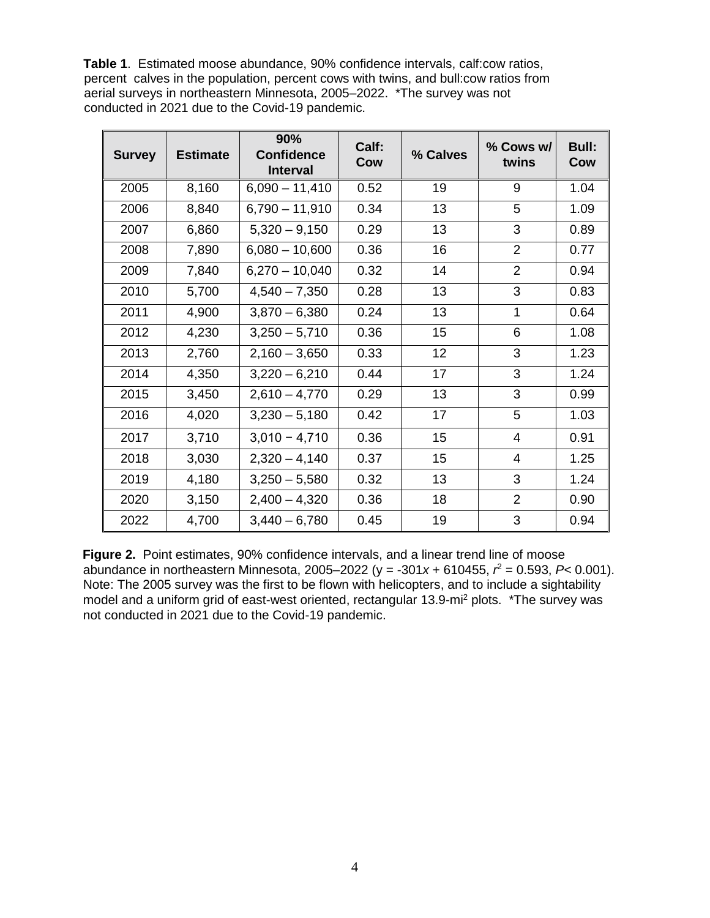**Table 1**. Estimated moose abundance, 90% confidence intervals, calf:cow ratios, percent calves in the population, percent cows with twins, and bull:cow ratios from aerial surveys in northeastern Minnesota, 2005–2022. \*The survey was not conducted in 2021 due to the Covid-19 pandemic.

| <b>Survey</b> | <b>Estimate</b> | 90%<br><b>Confidence</b><br><b>Interval</b> | Calf:<br>Cow | % Calves | % Cows w/<br>twins | <b>Bull:</b><br>Cow |
|---------------|-----------------|---------------------------------------------|--------------|----------|--------------------|---------------------|
| 2005          | 8,160           | $6,090 - 11,410$                            | 0.52         | 19       | 9                  | 1.04                |
| 2006          | 8,840           | $6,790 - 11,910$                            | 0.34         | 13       | 5                  | 1.09                |
| 2007          | 6,860           | $5,320 - 9,150$                             | 0.29         | 13       | 3                  | 0.89                |
| 2008          | 7,890           | $6,080 - 10,600$                            | 0.36         | 16       | 2                  | 0.77                |
| 2009          | 7,840           | $6,270 - 10,040$                            | 0.32         | 14       | $\overline{2}$     | 0.94                |
| 2010          | 5,700           | $4,540 - 7,350$                             | 0.28         | 13       | 3                  | 0.83                |
| 2011          | 4,900           | $3,870 - 6,380$                             | 0.24         | 13       | $\mathbf 1$        | 0.64                |
| 2012          | 4,230           | $3,250 - 5,710$                             | 0.36         | 15       | 6                  | 1.08                |
| 2013          | 2,760           | $2,160 - 3,650$                             | 0.33         | 12       | 3                  | 1.23                |
| 2014          | 4,350           | $3,220 - 6,210$                             | 0.44         | 17       | 3                  | 1.24                |
| 2015          | 3,450           | $2,610 - 4,770$                             | 0.29         | 13       | 3                  | 0.99                |
| 2016          | 4,020           | $3,230 - 5,180$                             | 0.42         | 17       | 5                  | 1.03                |
| 2017          | 3,710           | $3,010 - 4,710$                             | 0.36         | 15       | $\overline{4}$     | 0.91                |
| 2018          | 3,030           | $2,320 - 4,140$                             | 0.37         | 15       | $\overline{4}$     | 1.25                |
| 2019          | 4,180           | $3,250 - 5,580$                             | 0.32         | 13       | 3                  | 1.24                |
| 2020          | 3,150           | $2,400 - 4,320$                             | 0.36         | 18       | $\overline{2}$     | 0.90                |
| 2022          | 4,700           | $3,440 - 6,780$                             | 0.45         | 19       | 3                  | 0.94                |

**Figure 2.** Point estimates, 90% confidence intervals, and a linear trend line of moose abundance in northeastern Minnesota, 2005–2022 (y = -301*x* + 610455, *r* <sup>2</sup> = 0.593, *P*< 0.001). Note: The 2005 survey was the first to be flown with helicopters, and to include a sightability model and a uniform grid of east-west oriented, rectangular 13.9-mi<sup>2</sup> plots. \*The survey was not conducted in 2021 due to the Covid-19 pandemic.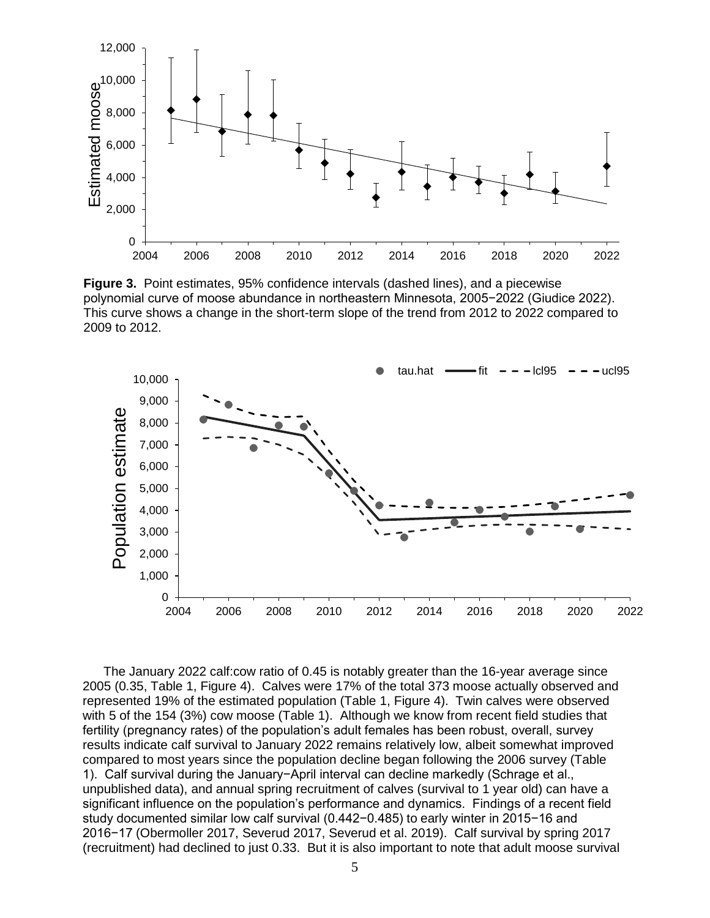

**Figure 3.** Point estimates, 95% confidence intervals (dashed lines), and a piecewise polynomial curve of moose abundance in northeastern Minnesota, 2005−2022 (Giudice 2022). This curve shows a change in the short-term slope of the trend from 2012 to 2022 compared to 2009 to 2012.



The January 2022 calf:cow ratio of 0.45 is notably greater than the 16-year average since 2005 (0.35, Table 1, Figure 4). Calves were 17% of the total 373 moose actually observed and represented 19% of the estimated population (Table 1, Figure 4). Twin calves were observed with 5 of the 154 (3%) cow moose (Table 1). Although we know from recent field studies that fertility (pregnancy rates) of the population's adult females has been robust, overall, survey results indicate calf survival to January 2022 remains relatively low, albeit somewhat improved compared to most years since the population decline began following the 2006 survey (Table 1). Calf survival during the January−April interval can decline markedly (Schrage et al., unpublished data), and annual spring recruitment of calves (survival to 1 year old) can have a significant influence on the population's performance and dynamics. Findings of a recent field study documented similar low calf survival (0.442−0.485) to early winter in 2015−16 and 2016−17 (Obermoller 2017, Severud 2017, Severud et al. 2019). Calf survival by spring 2017 (recruitment) had declined to just 0.33. But it is also important to note that adult moose survival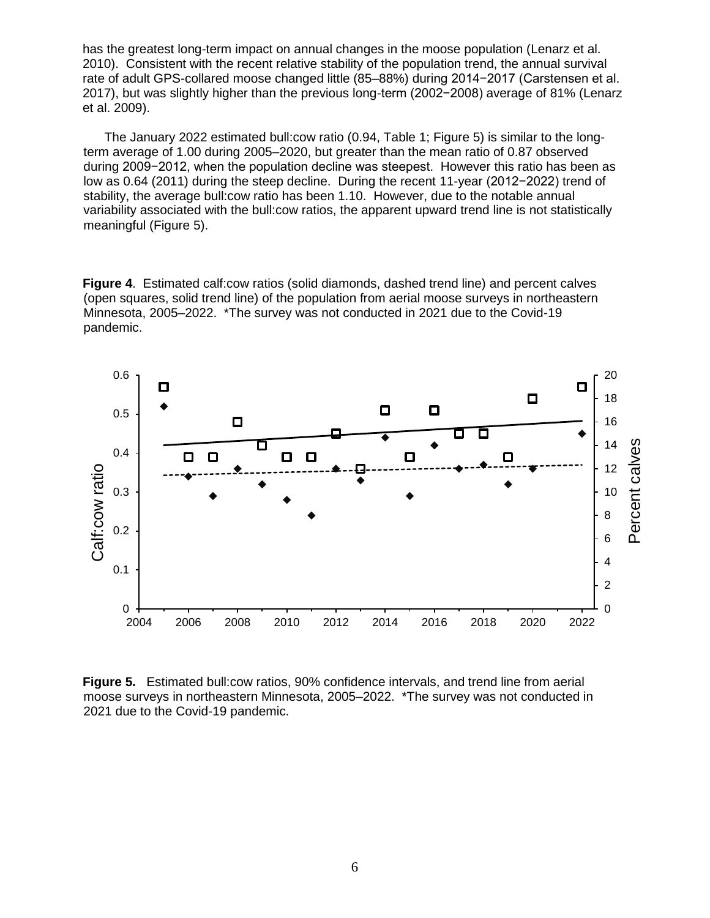has the greatest long-term impact on annual changes in the moose population (Lenarz et al. 2010). Consistent with the recent relative stability of the population trend, the annual survival rate of adult GPS-collared moose changed little (85–88%) during 2014−2017 (Carstensen et al. 2017), but was slightly higher than the previous long-term (2002−2008) average of 81% (Lenarz et al. 2009).

The January 2022 estimated bull:cow ratio (0.94, Table 1; Figure 5) is similar to the longterm average of 1.00 during 2005–2020, but greater than the mean ratio of 0.87 observed during 2009−2012, when the population decline was steepest. However this ratio has been as low as 0.64 (2011) during the steep decline. During the recent 11-year (2012−2022) trend of stability, the average bull:cow ratio has been 1.10. However, due to the notable annual variability associated with the bull:cow ratios, the apparent upward trend line is not statistically meaningful (Figure 5).

**Figure 4**. Estimated calf:cow ratios (solid diamonds, dashed trend line) and percent calves (open squares, solid trend line) of the population from aerial moose surveys in northeastern Minnesota, 2005–2022. \*The survey was not conducted in 2021 due to the Covid-19 pandemic.



**Figure 5.** Estimated bull:cow ratios, 90% confidence intervals, and trend line from aerial moose surveys in northeastern Minnesota, 2005–2022. \*The survey was not conducted in 2021 due to the Covid-19 pandemic.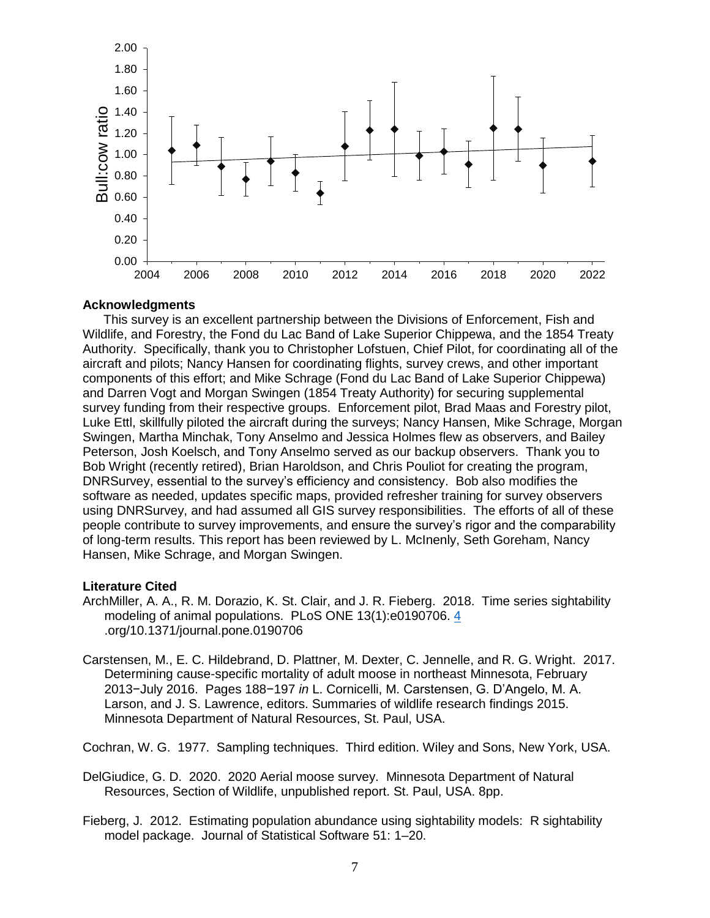

### **Acknowledgments**

This survey is an excellent partnership between the Divisions of Enforcement, Fish and Wildlife, and Forestry, the Fond du Lac Band of Lake Superior Chippewa, and the 1854 Treaty Authority. Specifically, thank you to Christopher Lofstuen, Chief Pilot, for coordinating all of the aircraft and pilots; Nancy Hansen for coordinating flights, survey crews, and other important components of this effort; and Mike Schrage (Fond du Lac Band of Lake Superior Chippewa) and Darren Vogt and Morgan Swingen (1854 Treaty Authority) for securing supplemental survey funding from their respective groups. Enforcement pilot, Brad Maas and Forestry pilot, Luke Ettl, skillfully piloted the aircraft during the surveys; Nancy Hansen, Mike Schrage, Morgan Swingen, Martha Minchak, Tony Anselmo and Jessica Holmes flew as observers, and Bailey Peterson, Josh Koelsch, and Tony Anselmo served as our backup observers. Thank you to Bob Wright (recently retired), Brian Haroldson, and Chris Pouliot for creating the program, DNRSurvey, essential to the survey's efficiency and consistency. Bob also modifies the software as needed, updates specific maps, provided refresher training for survey observers using DNRSurvey, and had assumed all GIS survey responsibilities. The efforts of all of these people contribute to survey improvements, and ensure the survey's rigor and the comparability of long-term results. This report has been reviewed by L. McInenly, Seth Goreham, Nancy Hansen, Mike Schrage, and Morgan Swingen.

## **Literature Cited**

- ArchMiller, A. A., R. M. Dorazio, K. St. Clair, and J. R. Fieberg. 2018. Time series sightability modeling of animal populations. PLoS ONE 13(1):e0190706. [4](https://doi/) .org/10.1371/journal.pone.0190706
- Carstensen, M., E. C. Hildebrand, D. Plattner, M. Dexter, C. Jennelle, and R. G. Wright. 2017. Determining cause-specific mortality of adult moose in northeast Minnesota, February 2013−July 2016. Pages 188−197 *in* L. Cornicelli, M. Carstensen, G. D'Angelo, M. A. Larson, and J. S. Lawrence, editors. Summaries of wildlife research findings 2015. Minnesota Department of Natural Resources, St. Paul, USA.

Cochran, W. G. 1977. Sampling techniques. Third edition. Wiley and Sons, New York, USA.

- DelGiudice, G. D. 2020. 2020 Aerial moose survey. Minnesota Department of Natural Resources, Section of Wildlife, unpublished report. St. Paul, USA. 8pp.
- Fieberg, J. 2012. Estimating population abundance using sightability models: R sightability model package. Journal of Statistical Software 51: 1–20.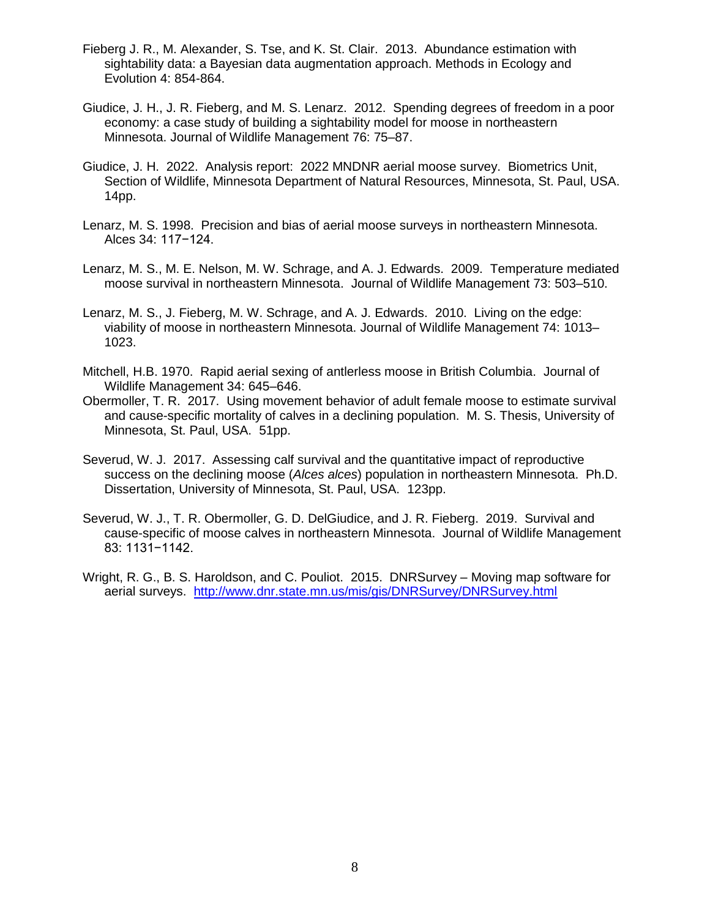- Fieberg J. R., M. Alexander, S. Tse, and K. St. Clair. 2013. Abundance estimation with sightability data: a Bayesian data augmentation approach. Methods in Ecology and Evolution 4: 854-864.
- Giudice, J. H., J. R. Fieberg, and M. S. Lenarz. 2012. Spending degrees of freedom in a poor economy: a case study of building a sightability model for moose in northeastern Minnesota. Journal of Wildlife Management 76: 75–87.
- Giudice, J. H. 2022. Analysis report: 2022 MNDNR aerial moose survey. Biometrics Unit, Section of Wildlife, Minnesota Department of Natural Resources, Minnesota, St. Paul, USA. 14pp.
- Lenarz, M. S. 1998. Precision and bias of aerial moose surveys in northeastern Minnesota. Alces 34: 117−124.
- Lenarz, M. S., M. E. Nelson, M. W. Schrage, and A. J. Edwards. 2009. Temperature mediated moose survival in northeastern Minnesota. Journal of Wildlife Management 73: 503–510.
- Lenarz, M. S., J. Fieberg, M. W. Schrage, and A. J. Edwards. 2010. Living on the edge: viability of moose in northeastern Minnesota. Journal of Wildlife Management 74: 1013– 1023.
- Mitchell, H.B. 1970. Rapid aerial sexing of antlerless moose in British Columbia. Journal of Wildlife Management 34: 645–646.
- Obermoller, T. R. 2017. Using movement behavior of adult female moose to estimate survival and cause-specific mortality of calves in a declining population. M. S. Thesis, University of Minnesota, St. Paul, USA. 51pp.
- Severud, W. J. 2017. Assessing calf survival and the quantitative impact of reproductive success on the declining moose (*Alces alces*) population in northeastern Minnesota. Ph.D. Dissertation, University of Minnesota, St. Paul, USA. 123pp.
- Severud, W. J., T. R. Obermoller, G. D. DelGiudice, and J. R. Fieberg. 2019. Survival and cause-specific of moose calves in northeastern Minnesota. Journal of Wildlife Management 83: 1131−1142.
- Wright, R. G., B. S. Haroldson, and C. Pouliot. 2015. DNRSurvey Moving map software for aerial surveys. <http://www.dnr.state.mn.us/mis/gis/DNRSurvey/DNRSurvey.html>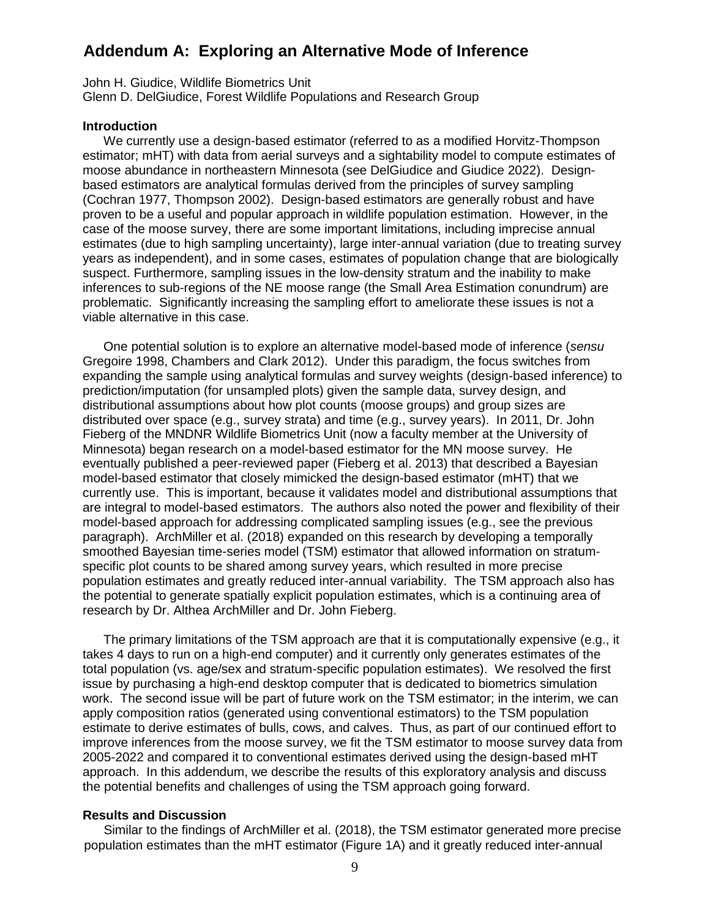# **Addendum A: Exploring an Alternative Mode of Inference**

John H. Giudice, Wildlife Biometrics Unit Glenn D. DelGiudice, Forest Wildlife Populations and Research Group

### **Introduction**

We currently use a design-based estimator (referred to as a modified Horvitz-Thompson estimator; mHT) with data from aerial surveys and a sightability model to compute estimates of moose abundance in northeastern Minnesota (see DelGiudice and Giudice 2022). Designbased estimators are analytical formulas derived from the principles of survey sampling (Cochran 1977, Thompson 2002). Design-based estimators are generally robust and have proven to be a useful and popular approach in wildlife population estimation. However, in the case of the moose survey, there are some important limitations, including imprecise annual estimates (due to high sampling uncertainty), large inter-annual variation (due to treating survey years as independent), and in some cases, estimates of population change that are biologically suspect. Furthermore, sampling issues in the low-density stratum and the inability to make inferences to sub-regions of the NE moose range (the Small Area Estimation conundrum) are problematic. Significantly increasing the sampling effort to ameliorate these issues is not a viable alternative in this case.

One potential solution is to explore an alternative model-based mode of inference (*sensu* Gregoire 1998, Chambers and Clark 2012). Under this paradigm, the focus switches from expanding the sample using analytical formulas and survey weights (design-based inference) to prediction/imputation (for unsampled plots) given the sample data, survey design, and distributional assumptions about how plot counts (moose groups) and group sizes are distributed over space (e.g., survey strata) and time (e.g., survey years). In 2011, Dr. John Fieberg of the MNDNR Wildlife Biometrics Unit (now a faculty member at the University of Minnesota) began research on a model-based estimator for the MN moose survey. He eventually published a peer-reviewed paper (Fieberg et al. 2013) that described a Bayesian model-based estimator that closely mimicked the design-based estimator (mHT) that we currently use. This is important, because it validates model and distributional assumptions that are integral to model-based estimators. The authors also noted the power and flexibility of their model-based approach for addressing complicated sampling issues (e.g., see the previous paragraph). ArchMiller et al. (2018) expanded on this research by developing a temporally smoothed Bayesian time-series model (TSM) estimator that allowed information on stratumspecific plot counts to be shared among survey years, which resulted in more precise population estimates and greatly reduced inter-annual variability. The TSM approach also has the potential to generate spatially explicit population estimates, which is a continuing area of research by Dr. Althea ArchMiller and Dr. John Fieberg.

The primary limitations of the TSM approach are that it is computationally expensive (e.g., it takes 4 days to run on a high-end computer) and it currently only generates estimates of the total population (vs. age/sex and stratum-specific population estimates). We resolved the first issue by purchasing a high-end desktop computer that is dedicated to biometrics simulation work. The second issue will be part of future work on the TSM estimator; in the interim, we can apply composition ratios (generated using conventional estimators) to the TSM population estimate to derive estimates of bulls, cows, and calves. Thus, as part of our continued effort to improve inferences from the moose survey, we fit the TSM estimator to moose survey data from 2005-2022 and compared it to conventional estimates derived using the design-based mHT approach. In this addendum, we describe the results of this exploratory analysis and discuss the potential benefits and challenges of using the TSM approach going forward.

## **Results and Discussion**

Similar to the findings of ArchMiller et al. (2018), the TSM estimator generated more precise population estimates than the mHT estimator (Figure 1A) and it greatly reduced inter-annual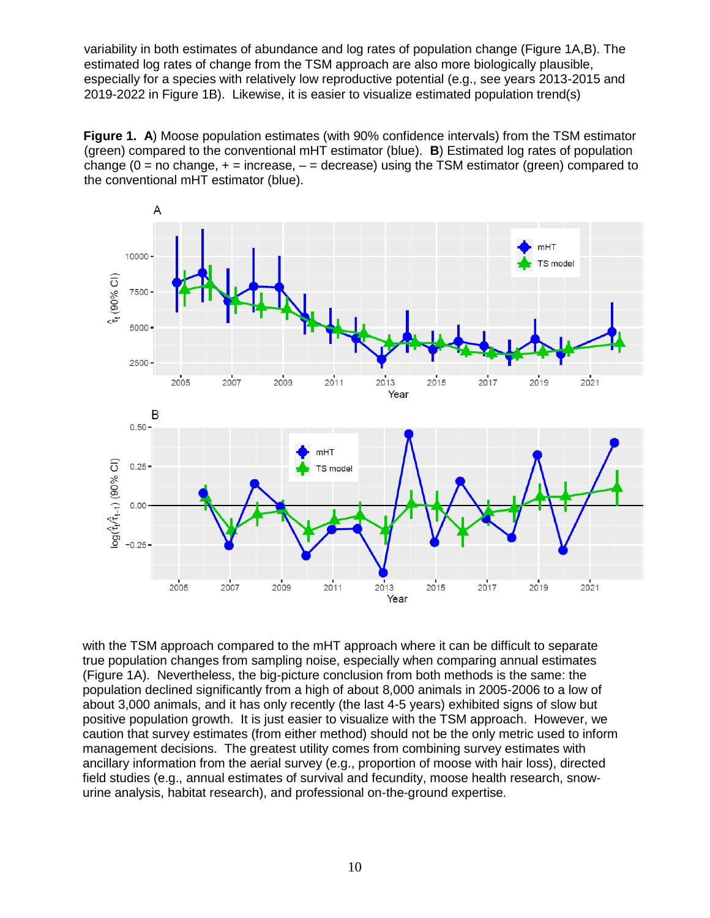variability in both estimates of abundance and log rates of population change (Figure 1A,B). The estimated log rates of change from the TSM approach are also more biologically plausible, especially for a species with relatively low reproductive potential (e.g., see years 2013-2015 and 2019-2022 in Figure 1B). Likewise, it is easier to visualize estimated population trend(s)

**Figure 1. A**) Moose population estimates (with 90% confidence intervals) from the TSM estimator (green) compared to the conventional mHT estimator (blue). **B**) Estimated log rates of population change ( $0 =$  no change,  $+ =$  increase,  $- =$  decrease) using the TSM estimator (green) compared to the conventional mHT estimator (blue).



with the TSM approach compared to the mHT approach where it can be difficult to separate true population changes from sampling noise, especially when comparing annual estimates (Figure 1A). Nevertheless, the big-picture conclusion from both methods is the same: the population declined significantly from a high of about 8,000 animals in 2005-2006 to a low of about 3,000 animals, and it has only recently (the last 4-5 years) exhibited signs of slow but positive population growth. It is just easier to visualize with the TSM approach. However, we caution that survey estimates (from either method) should not be the only metric used to inform management decisions. The greatest utility comes from combining survey estimates with ancillary information from the aerial survey (e.g., proportion of moose with hair loss), directed field studies (e.g., annual estimates of survival and fecundity, moose health research, snowurine analysis, habitat research), and professional on-the-ground expertise.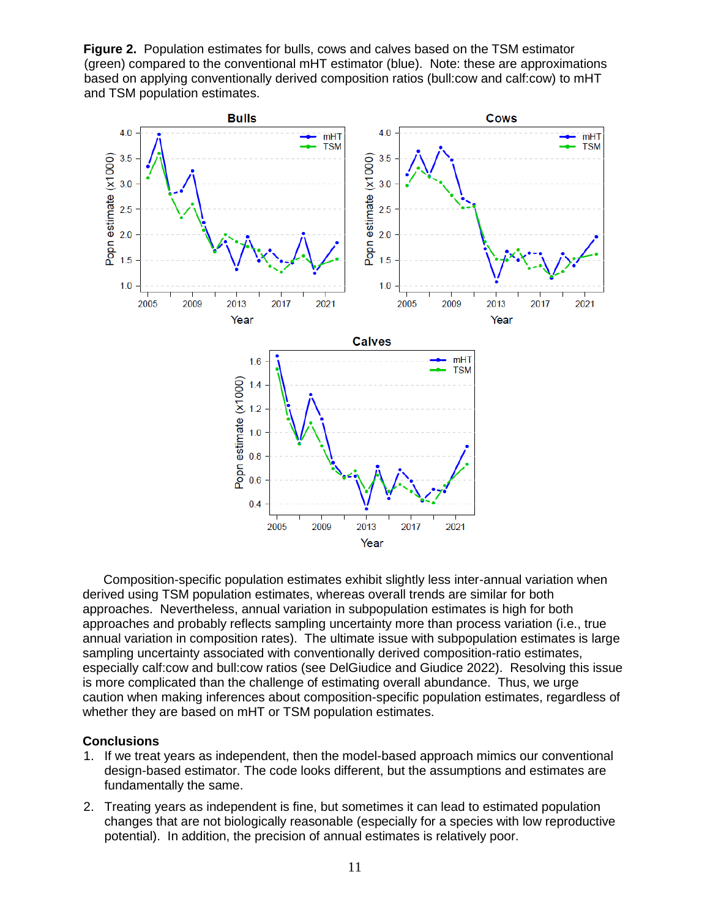**Figure 2.** Population estimates for bulls, cows and calves based on the TSM estimator (green) compared to the conventional mHT estimator (blue). Note: these are approximations based on applying conventionally derived composition ratios (bull:cow and calf:cow) to mHT and TSM population estimates.



Composition-specific population estimates exhibit slightly less inter-annual variation when derived using TSM population estimates, whereas overall trends are similar for both approaches. Nevertheless, annual variation in subpopulation estimates is high for both approaches and probably reflects sampling uncertainty more than process variation (i.e., true annual variation in composition rates). The ultimate issue with subpopulation estimates is large sampling uncertainty associated with conventionally derived composition-ratio estimates, especially calf:cow and bull:cow ratios (see DelGiudice and Giudice 2022). Resolving this issue is more complicated than the challenge of estimating overall abundance. Thus, we urge caution when making inferences about composition-specific population estimates, regardless of whether they are based on mHT or TSM population estimates.

## **Conclusions**

- 1. If we treat years as independent, then the model-based approach mimics our conventional design-based estimator. The code looks different, but the assumptions and estimates are fundamentally the same.
- 2. Treating years as independent is fine, but sometimes it can lead to estimated population changes that are not biologically reasonable (especially for a species with low reproductive potential). In addition, the precision of annual estimates is relatively poor.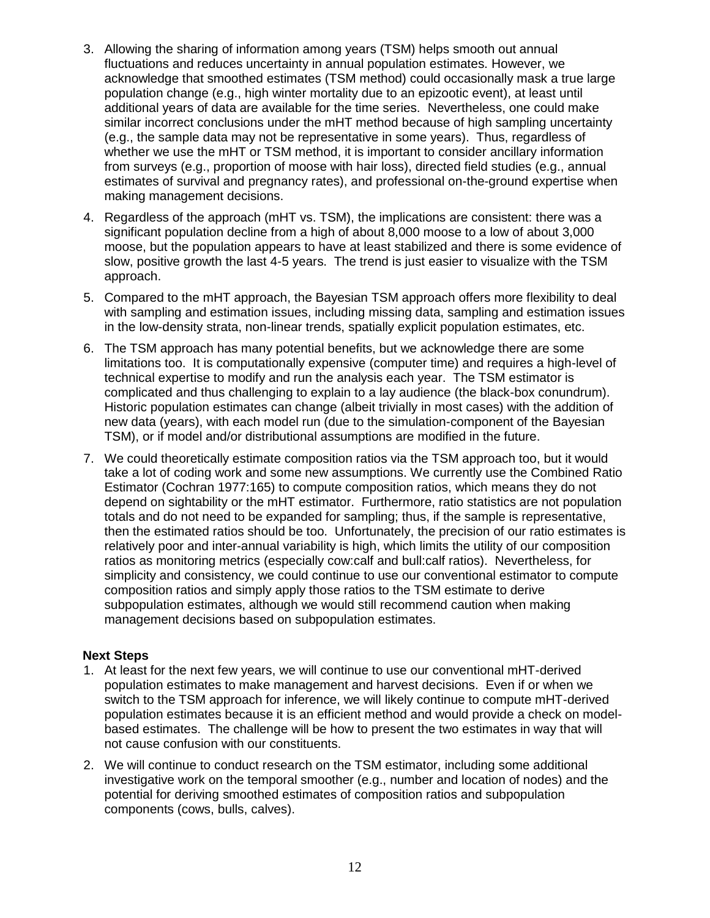- 3. Allowing the sharing of information among years (TSM) helps smooth out annual fluctuations and reduces uncertainty in annual population estimates. However, we acknowledge that smoothed estimates (TSM method) could occasionally mask a true large population change (e.g., high winter mortality due to an epizootic event), at least until additional years of data are available for the time series. Nevertheless, one could make similar incorrect conclusions under the mHT method because of high sampling uncertainty (e.g., the sample data may not be representative in some years). Thus, regardless of whether we use the mHT or TSM method, it is important to consider ancillary information from surveys (e.g., proportion of moose with hair loss), directed field studies (e.g., annual estimates of survival and pregnancy rates), and professional on-the-ground expertise when making management decisions.
- 4. Regardless of the approach (mHT vs. TSM), the implications are consistent: there was a significant population decline from a high of about 8,000 moose to a low of about 3,000 moose, but the population appears to have at least stabilized and there is some evidence of slow, positive growth the last 4-5 years. The trend is just easier to visualize with the TSM approach.
- 5. Compared to the mHT approach, the Bayesian TSM approach offers more flexibility to deal with sampling and estimation issues, including missing data, sampling and estimation issues in the low-density strata, non-linear trends, spatially explicit population estimates, etc.
- 6. The TSM approach has many potential benefits, but we acknowledge there are some limitations too. It is computationally expensive (computer time) and requires a high-level of technical expertise to modify and run the analysis each year. The TSM estimator is complicated and thus challenging to explain to a lay audience (the black-box conundrum). Historic population estimates can change (albeit trivially in most cases) with the addition of new data (years), with each model run (due to the simulation-component of the Bayesian TSM), or if model and/or distributional assumptions are modified in the future.
- 7. We could theoretically estimate composition ratios via the TSM approach too, but it would take a lot of coding work and some new assumptions. We currently use the Combined Ratio Estimator (Cochran 1977:165) to compute composition ratios, which means they do not depend on sightability or the mHT estimator. Furthermore, ratio statistics are not population totals and do not need to be expanded for sampling; thus, if the sample is representative, then the estimated ratios should be too. Unfortunately, the precision of our ratio estimates is relatively poor and inter-annual variability is high, which limits the utility of our composition ratios as monitoring metrics (especially cow:calf and bull:calf ratios). Nevertheless, for simplicity and consistency, we could continue to use our conventional estimator to compute composition ratios and simply apply those ratios to the TSM estimate to derive subpopulation estimates, although we would still recommend caution when making management decisions based on subpopulation estimates.

# **Next Steps**

- 1. At least for the next few years, we will continue to use our conventional mHT-derived population estimates to make management and harvest decisions. Even if or when we switch to the TSM approach for inference, we will likely continue to compute mHT-derived population estimates because it is an efficient method and would provide a check on modelbased estimates. The challenge will be how to present the two estimates in way that will not cause confusion with our constituents.
- 2. We will continue to conduct research on the TSM estimator, including some additional investigative work on the temporal smoother (e.g., number and location of nodes) and the potential for deriving smoothed estimates of composition ratios and subpopulation components (cows, bulls, calves).